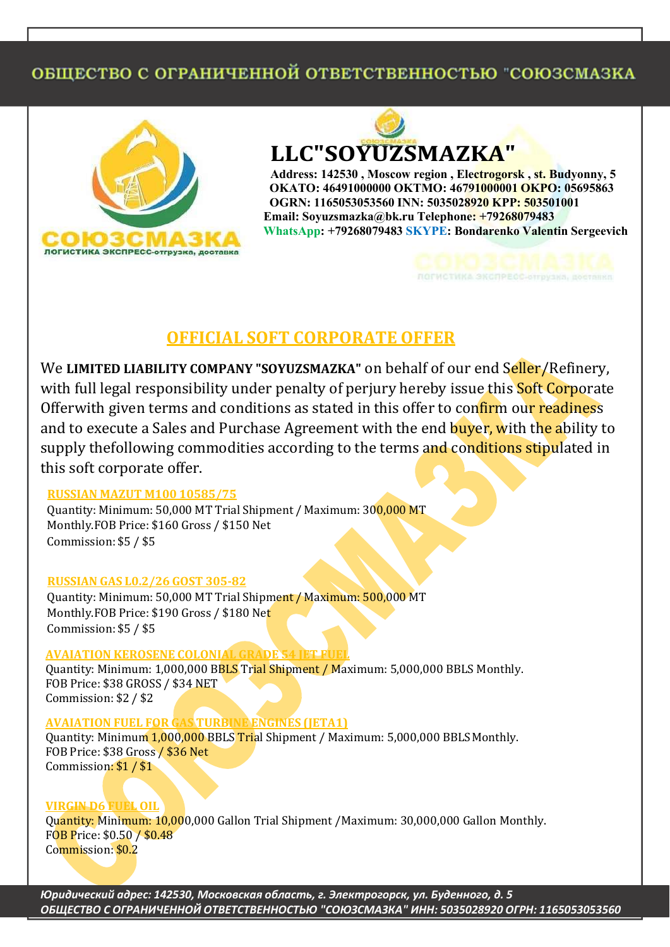# ОБЩЕСТВО С ОГРАНИЧЕННОЙ ОТВЕТСТВЕННОСТЬЮ "СОЮЗСМАЗКА



**LLC"SOYUZSMAZKA"**

**Address: 142530 , Moscow region , Electrogorsk , st. Budyonny, 5 OKATO: 46491000000 OKTMO: 46791000001 OKPO: 05695863 OGRN: 1165053053560 INN: 5035028920 KPP: 503501001 Email: [Soyuzsmazka@bk.ru](mailto:Soyuzsmazka@bk.ru) Telephone: +79268079483 WhatsApp: +79268079483 SKYPE: Bondarenko Valentin Sergeevich**

**ЛОГИСТИКА ЭКСПРЕСС-АТГРУ** 

## **OFFICIAL SOFT CORPORATE OFFER**

We **LIMITED LIABILITY COMPANY "SOYUZSMAZKA"** on behalf of our end Seller/Refinery, with full legal responsibility under penalty of perjury hereby issue this **Soft Corporate** Offerwith given terms and conditions as stated in this offer to confirm our readiness and to execute a Sales and Purchase Agreement with the end buyer, with the ability to supply thefollowing commodities according to the terms and conditions stipulated in this soft corporate offer.

### **RUSSIAN MAZUT M100 10585/75**

Quantity: Minimum: 50,000 MT Trial Shipment / Maximum: 300,000 MT Monthly.FOB Price: \$160 Gross / \$150 Net Commission: \$5 / \$5

### **RUSSIAN GAS L0.2/26 GOST 305-82**

Quantity: Minimum: 50,000 MT Trial Shipment / Maximum: 500,000 MT Monthly.FOB Price: \$190 Gross / \$180 Net Commission: \$5 / \$5

### **AVAIATION KEROSENE COLONIAL GRADE 54 JET FUEL**

Quantity: Minimum: 1,000,000 BBLS Trial Shipment / Maximum: 5,000,000 BBLS Monthly. FOB Price: \$38 GROSS / \$34 NET Commission: \$2 / \$2

### **AVAIATION FUEL FOR GAS TURBINE ENGINES (JETA1)**

Quantity: Minimum 1,000,000 BBLS Trial Shipment / Maximum: 5,000,000 BBLS Monthly. FOB Price: \$38 Gross / \$36 Net Commission: \$1 / \$1

### **VIRGIN D6 FUEL OIL**

Quantity: Minimum: 10,000,000 Gallon Trial Shipment /Maximum: 30,000,000 Gallon Monthly. FOB Price: \$0.50 / \$0.48 Commission: \$0.2

*˓̸̡̛̛̛̬̖̭̜̔ ̬̖̭̌̔͗ 142530, ʺ̨̡̨̡̭̭̏̌́ ̨̣̭̯͕̍̌̽ ̐͘ ˑ̡̨̨̡̣̖̯̬̬̭͕̐ ̱̣͘ ʥ̨̨̱̖̦̦͕̔̐ ̔͘ 5 ʽʥˍʫˁ˃ʦʽ ˁ ʽʧˀʤʻʰˋʫʻʻʽʱ ʽ˃ʦʫ˃ˁ˃ʦʫʻʻʽˁ˃ː˓ Ηˁʽ˓ʯˁʺʤʯʶʤΗ ʰʻʻ͗ 5035028920 ʽʧˀʻ͗ 1165053053560*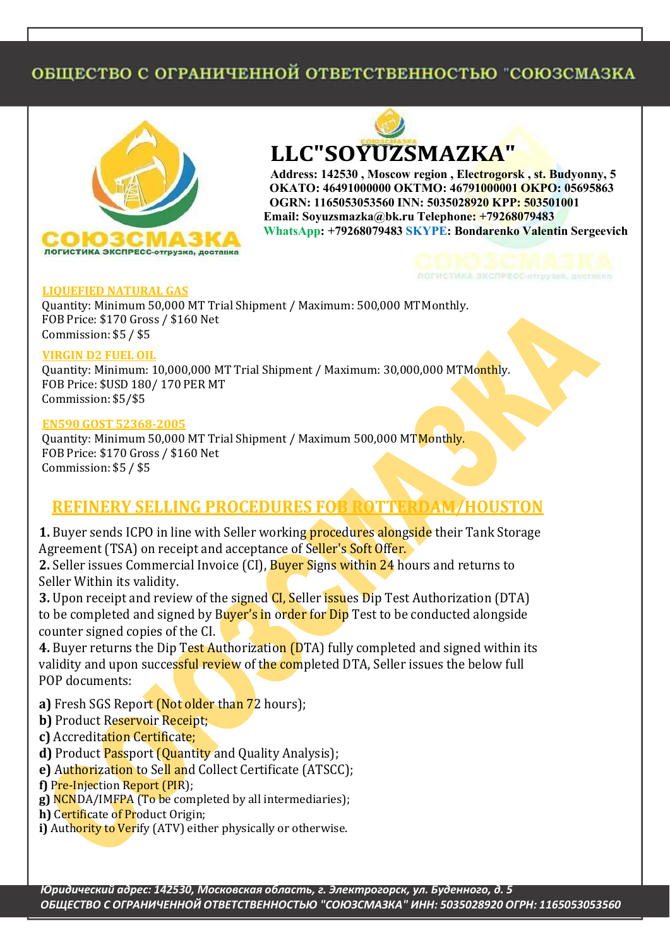# ОБЩЕСТВО С ОГРАНИЧЕННОЙ ОТВЕТСТВЕННОСТЬЮ "СОЮЗСМАЗКА



**LLC"SOYUZSMAZKA"**

**Address: 142530 , Moscow region , Electrogorsk , st. Budyonny, 5 OKATO: 46491000000 OKTMO: 46791000001 OKPO: 05695863 OGRN: 1165053053560 INN: 5035028920 KPP: 503501001 Email: [Soyuzsmazka@bk.ru](mailto:Soyuzsmazka@bk.ru) Telephone: +79268079483 WhatsApp: +79268079483 SKYPE: Bondarenko Valentin Sergeevich**

#### **LIQUEFIED NATURAL GAS**

Quantity: Minimum 50,000 MT Trial Shipment / Maximum: 500,000 MT Monthly. FOB Price: \$170 Gross / \$160 Net Commission: \$5 / \$5

#### **VIRGIN D2 FUEL OIL**

Quantity: Minimum: 10,000,000 MT Trial Shipment / Maximum: 30,000,000 MTMonthly. FOB Price: \$USD 180/ 170 PER MT Commission: \$5/\$5

#### **EN590 GOST 52368-2005**

Quantity: Minimum 50,000 MT Trial Shipment / Maximum 500,000 MT Monthly. FOB Price: \$170 Gross / \$160 Net Commission: \$5 / \$5

## **REFINERY SELLING PROCEDURES FOB ROTTERDAM/HOUSTON**

**1.** Buyer sends ICPO in line with Seller working **procedures alongside** their Tank Storage Agreement (TSA) on receipt and acceptance of Seller's Soft Offer.

**2.** Seller issues Commercial Invoice (CI), Buyer Signs within 24 hours and returns to Seller Within its validity.

**3.** Upon receipt and review of the signed **CI**, Seller issues Dip Test Authorization (DTA) to be completed and signed by Buyer's in order for Dip Test to be conducted alongside counter signed copies of the CI.

**4.** Buyer returns the Dip Test Authorization (DTA) fully completed and signed within its validity and upon successful review of the completed DTA, Seller issues the below full POP documents:

- **a)** Fresh SGS Report (Not older than 72 hours);
- **b)** Product Reservoir Receipt;
- **c)** Accreditation Certificate;

**d)** Product Passport (Quantity and Quality Analysis);

- **e)** Authorization to Sell and Collect Certificate (ATSCC);
- **f)** Pre-Injection Report (PIR);
- **g)** NCNDA/IMFPA (To be completed by all intermediaries);
- **h)** Certificate of Product Origin;
- **i)** Authority to Verify (ATV) either physically or otherwise.

*˓̸̡̛̛̛̬̖̭̜̔ ̬̖̭̌̔͗ 142530, ʺ̨̡̨̡̭̭̏̌́ ̨̣̭̯͕̍̌̽ ̐͘ ˑ̡̨̨̡̣̖̯̬̬̭͕̐ ̱̣͘ ʥ̨̨̱̖̦̦͕̔̐ ̔͘ 5 ʽʥˍʫˁ˃ʦʽ ˁ ʽʧˀʤʻʰˋʫʻʻʽʱ ʽ˃ʦʫ˃ˁ˃ʦʫʻʻʽˁ˃ː˓ Ηˁʽ˓ʯˁʺʤʯʶʤΗ ʰʻʻ͗ 5035028920 ʽʧˀʻ͗ 1165053053560*